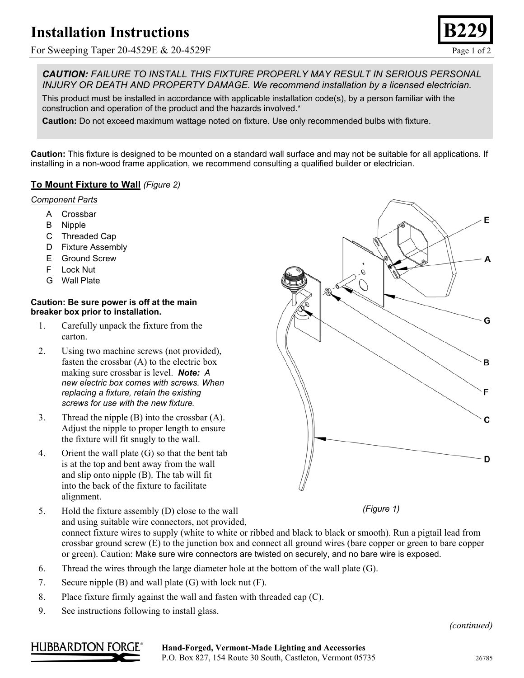# **Installation Instructions**

For Sweeping Taper 20-4529E & 20-4529F Page 1 of 2



*CAUTION: FAILURE TO INSTALL THIS FIXTURE PROPERLY MAY RESULT IN SERIOUS PERSONAL INJURY OR DEATH AND PROPERTY DAMAGE. We recommend installation by a licensed electrician.*

This product must be installed in accordance with applicable installation code(s), by a person familiar with the construction and operation of the product and the hazards involved.\*

**Caution:** Do not exceed maximum wattage noted on fixture. Use only recommended bulbs with fixture.

**Caution:** This fixture is designed to be mounted on a standard wall surface and may not be suitable for all applications. If installing in a non-wood frame application, we recommend consulting a qualified builder or electrician.

### **To Mount Fixture to Wall** *(Figure 2)*

#### *Component Parts*

- A Crossbar
- B Nipple
- C Threaded Cap
- D Fixture Assembly
- E Ground Screw
- F Lock Nut
- G Wall Plate

#### **Caution: Be sure power is off at the main breaker box prior to installation.**

- 1. Carefully unpack the fixture from the carton.
- 2. Using two machine screws (not provided), fasten the crossbar (A) to the electric box making sure crossbar is level. *Note: A new electric box comes with screws. When replacing a fixture, retain the existing screws for use with the new fixture.*
- 3. Thread the nipple (B) into the crossbar (A). Adjust the nipple to proper length to ensure the fixture will fit snugly to the wall.
- 4. Orient the wall plate (G) so that the bent tab is at the top and bent away from the wall and slip onto nipple (B). The tab will fit into the back of the fixture to facilitate alignment.
- 5. Hold the fixture assembly (D) close to the wall and using suitable wire connectors, not provided, connect fixture wires to supply (white to white or ribbed and black to black or smooth). Run a pigtail lead from crossbar ground screw (E) to the junction box and connect all ground wires (bare copper or green to bare copper or green). Caution: Make sure wire connectors are twisted on securely, and no bare wire is exposed.
- 6. Thread the wires through the large diameter hole at the bottom of the wall plate (G).
- 7. Secure nipple (B) and wall plate (G) with lock nut (F).
- 8. Place fixture firmly against the wall and fasten with threaded cap (C).
- 9. See instructions following to install glass.



*(Figure 1)*